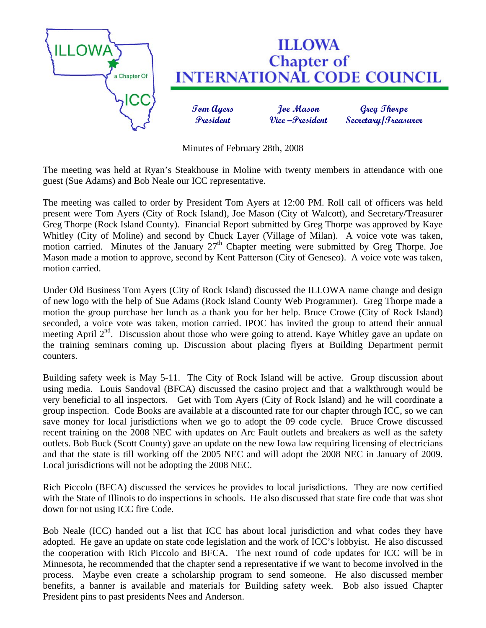

Minutes of February 28th, 2008

The meeting was held at Ryan's Steakhouse in Moline with twenty members in attendance with one guest (Sue Adams) and Bob Neale our ICC representative.

The meeting was called to order by President Tom Ayers at 12:00 PM. Roll call of officers was held present were Tom Ayers (City of Rock Island), Joe Mason (City of Walcott), and Secretary/Treasurer Greg Thorpe (Rock Island County). Financial Report submitted by Greg Thorpe was approved by Kaye Whitley (City of Moline) and second by Chuck Layer (Village of Milan). A voice vote was taken, motion carried. Minutes of the January  $27<sup>th</sup>$  Chapter meeting were submitted by Greg Thorpe. Joe Mason made a motion to approve, second by Kent Patterson (City of Geneseo). A voice vote was taken, motion carried.

Under Old Business Tom Ayers (City of Rock Island) discussed the ILLOWA name change and design of new logo with the help of Sue Adams (Rock Island County Web Programmer). Greg Thorpe made a motion the group purchase her lunch as a thank you for her help. Bruce Crowe (City of Rock Island) seconded, a voice vote was taken, motion carried. IPOC has invited the group to attend their annual meeting April  $2<sup>nd</sup>$ . Discussion about those who were going to attend. Kaye Whitley gave an update on the training seminars coming up. Discussion about placing flyers at Building Department permit counters.

Building safety week is May 5-11. The City of Rock Island will be active. Group discussion about using media. Louis Sandoval (BFCA) discussed the casino project and that a walkthrough would be very beneficial to all inspectors. Get with Tom Ayers (City of Rock Island) and he will coordinate a group inspection. Code Books are available at a discounted rate for our chapter through ICC, so we can save money for local jurisdictions when we go to adopt the 09 code cycle. Bruce Crowe discussed recent training on the 2008 NEC with updates on Arc Fault outlets and breakers as well as the safety outlets. Bob Buck (Scott County) gave an update on the new Iowa law requiring licensing of electricians and that the state is till working off the 2005 NEC and will adopt the 2008 NEC in January of 2009. Local jurisdictions will not be adopting the 2008 NEC.

Rich Piccolo (BFCA) discussed the services he provides to local jurisdictions. They are now certified with the State of Illinois to do inspections in schools. He also discussed that state fire code that was shot down for not using ICC fire Code.

Bob Neale (ICC) handed out a list that ICC has about local jurisdiction and what codes they have adopted. He gave an update on state code legislation and the work of ICC's lobbyist. He also discussed the cooperation with Rich Piccolo and BFCA. The next round of code updates for ICC will be in Minnesota, he recommended that the chapter send a representative if we want to become involved in the process. Maybe even create a scholarship program to send someone. He also discussed member benefits, a banner is available and materials for Building safety week. Bob also issued Chapter President pins to past presidents Nees and Anderson.